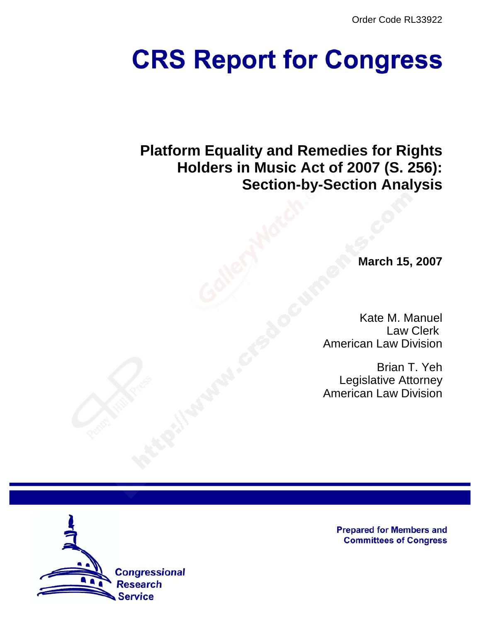Order Code RL33922

# **CRS Report for Congress**

**Platform Equality and Remedies for Rights Holders in Music Act of 2007 (S. 256): Section-by-Section Analysis**

**March 15, 2007**

Kate M. Manuel Law Clerk American Law Division

Brian T. Yeh Legislative Attorney American Law Division



**Prepared for Members and Committees of Congress**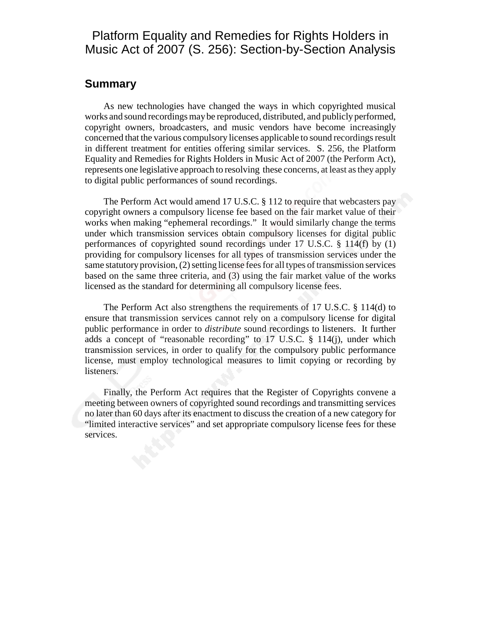# Platform Equality and Remedies for Rights Holders in Music Act of 2007 (S. 256): Section-by-Section Analysis

#### **Summary**

As new technologies have changed the ways in which copyrighted musical works and sound recordings may be reproduced, distributed, and publicly performed, copyright owners, broadcasters, and music vendors have become increasingly concerned that the various compulsory licenses applicable to sound recordings result in different treatment for entities offering similar services. S. 256, the Platform Equality and Remedies for Rights Holders in Music Act of 2007 (the Perform Act), represents one legislative approach to resolving these concerns, at least as they apply to digital public performances of sound recordings.

The Perform Act would amend 17 U.S.C. § 112 to require that webcasters pay copyright owners a compulsory license fee based on the fair market value of their works when making "ephemeral recordings." It would similarly change the terms under which transmission services obtain compulsory licenses for digital public performances of copyrighted sound recordings under 17 U.S.C. § 114(f) by (1) providing for compulsory licenses for all types of transmission services under the same statutory provision, (2) setting license fees for all types of transmission services based on the same three criteria, and (3) using the fair market value of the works licensed as the standard for determining all compulsory license fees.

The Perform Act also strengthens the requirements of 17 U.S.C. § 114(d) to ensure that transmission services cannot rely on a compulsory license for digital public performance in order to *distribute* sound recordings to listeners. It further adds a concept of "reasonable recording" to 17 U.S.C. § 114(j), under which transmission services, in order to qualify for the compulsory public performance license, must employ technological measures to limit copying or recording by listeners.

Finally, the Perform Act requires that the Register of Copyrights convene a meeting between owners of copyrighted sound recordings and transmitting services no later than 60 days after its enactment to discuss the creation of a new category for "limited interactive services" and set appropriate compulsory license fees for these services.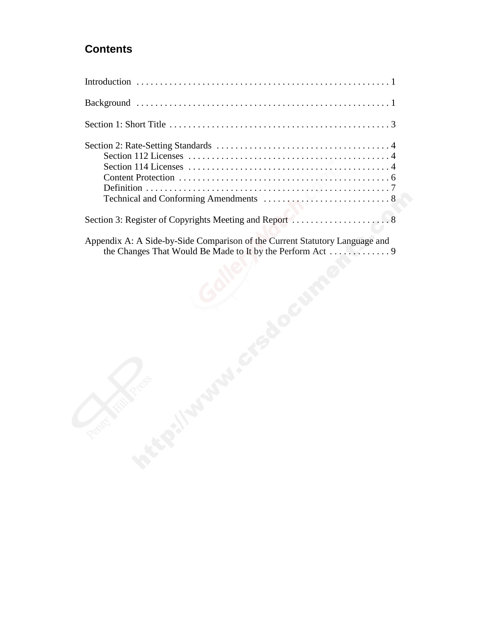# **Contents**

| Appendix A: A Side-by-Side Comparison of the Current Statutory Language and<br>the Changes That Would Be Made to It by the Perform Act 9 |
|------------------------------------------------------------------------------------------------------------------------------------------|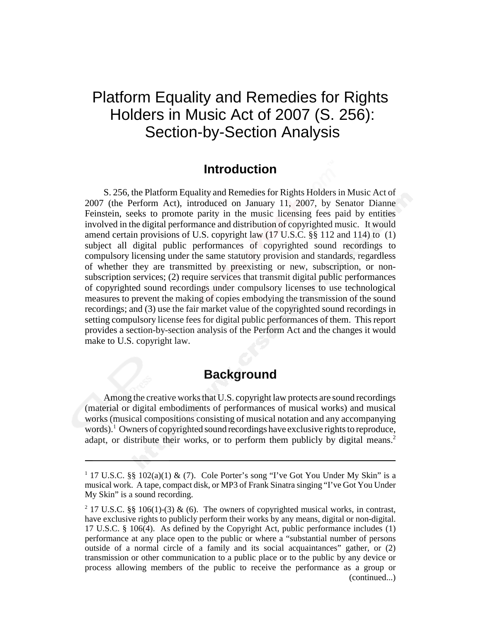# Platform Equality and Remedies for Rights Holders in Music Act of 2007 (S. 256): Section-by-Section Analysis

#### **Introduction**

S. 256, the Platform Equality and Remedies for Rights Holders in Music Act of 2007 (the Perform Act), introduced on January 11, 2007, by Senator Dianne Feinstein, seeks to promote parity in the music licensing fees paid by entities involved in the digital performance and distribution of copyrighted music. It would amend certain provisions of U.S. copyright law (17 U.S.C. §§ 112 and 114) to (1) subject all digital public performances of copyrighted sound recordings to compulsory licensing under the same statutory provision and standards, regardless of whether they are transmitted by preexisting or new, subscription, or nonsubscription services; (2) require services that transmit digital public performances of copyrighted sound recordings under compulsory licenses to use technological measures to prevent the making of copies embodying the transmission of the sound recordings; and (3) use the fair market value of the copyrighted sound recordings in setting compulsory license fees for digital public performances of them. This report provides a section-by-section analysis of the Perform Act and the changes it would make to U.S. copyright law.

## **Background**

Among the creative works that U.S. copyright law protects are sound recordings (material or digital embodiments of performances of musical works) and musical works (musical compositions consisting of musical notation and any accompanying words).<sup>1</sup> Owners of copyrighted sound recordings have exclusive rights to reproduce, adapt, or distribute their works, or to perform them publicly by digital means.<sup>2</sup>

<sup>&</sup>lt;sup>1</sup> 17 U.S.C. §§ 102(a)(1) & (7). Cole Porter's song "I've Got You Under My Skin" is a musical work. A tape, compact disk, or MP3 of Frank Sinatra singing "I've Got You Under My Skin" is a sound recording.

<sup>&</sup>lt;sup>2</sup> 17 U.S.C. §§ 106(1)-(3) & (6). The owners of copyrighted musical works, in contrast, have exclusive rights to publicly perform their works by any means, digital or non-digital. 17 U.S.C. § 106(4). As defined by the Copyright Act, public performance includes (1) performance at any place open to the public or where a "substantial number of persons outside of a normal circle of a family and its social acquaintances" gather, or (2) transmission or other communication to a public place or to the public by any device or process allowing members of the public to receive the performance as a group or (continued...)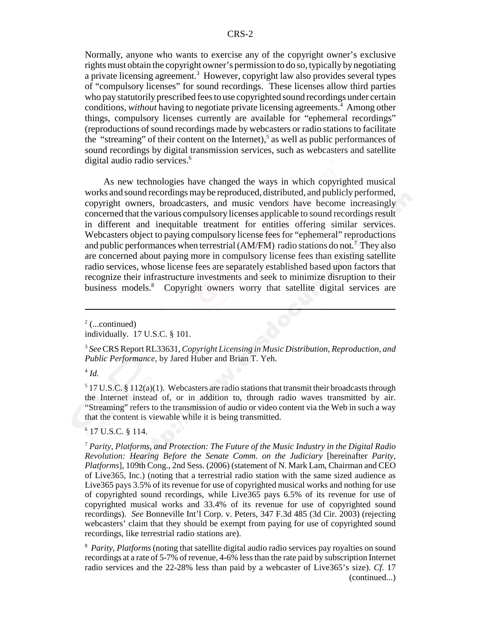Normally, anyone who wants to exercise any of the copyright owner's exclusive rights must obtain the copyright owner's permission to do so, typically by negotiating a private licensing agreement.<sup>3</sup> However, copyright law also provides several types of "compulsory licenses" for sound recordings. These licenses allow third parties who pay statutorily prescribed fees to use copyrighted sound recordings under certain conditions, without having to negotiate private licensing agreements.<sup>4</sup> Among other things, compulsory licenses currently are available for "ephemeral recordings" (reproductions of sound recordings made by webcasters or radio stations to facilitate the "streaming" of their content on the Internet),<sup>5</sup> as well as public performances of sound recordings by digital transmission services, such as webcasters and satellite digital audio radio services.<sup>6</sup>

As new technologies have changed the ways in which copyrighted musical works and sound recordings may be reproduced, distributed, and publicly performed, copyright owners, broadcasters, and music vendors have become increasingly concerned that the various compulsory licenses applicable to sound recordings result in different and inequitable treatment for entities offering similar services. Webcasters object to paying compulsory license fees for "ephemeral" reproductions and public performances when terrestrial (AM/FM) radio stations do not.<sup>7</sup> They also are concerned about paying more in compulsory license fees than existing satellite radio services, whose license fees are separately established based upon factors that recognize their infrastructure investments and seek to minimize disruption to their business models.<sup>8</sup> Copyright owners worry that satellite digital services are

<sup>4</sup> *Id.*

 $517$  U.S.C. § 112(a)(1). Webcasters are radio stations that transmit their broadcasts through the Internet instead of, or in addition to, through radio waves transmitted by air. "Streaming" refers to the transmission of audio or video content via the Web in such a way that the content is viewable while it is being transmitted.

6 17 U.S.C. § 114.

 $2$  (...continued)

individually. 17 U.S.C. § 101.

<sup>3</sup> *See* CRS Report RL33631, *Copyright Licensing in Music Distribution, Reproduction, and Public Performance*, by Jared Huber and Brian T. Yeh.

<sup>7</sup> *Parity, Platforms, and Protection: The Future of the Music Industry in the Digital Radio Revolution: Hearing Before the Senate Comm. on the Judiciary* [hereinafter *Parity, Platforms*], 109th Cong., 2nd Sess. (2006) (statement of N. Mark Lam, Chairman and CEO of Live365, Inc.) (noting that a terrestrial radio station with the same sized audience as Live365 pays 3.5% of its revenue for use of copyrighted musical works and nothing for use of copyrighted sound recordings, while Live365 pays 6.5% of its revenue for use of copyrighted musical works and 33.4% of its revenue for use of copyrighted sound recordings). *See* Bonneville Int'l Corp. v. Peters, 347 F.3d 485 (3d Cir. 2003) (rejecting webcasters' claim that they should be exempt from paying for use of copyrighted sound recordings, like terrestrial radio stations are).

<sup>8</sup> *Parity, Platforms* (noting that satellite digital audio radio services pay royalties on sound recordings at a rate of 5-7% of revenue, 4-6% less than the rate paid by subscription Internet radio services and the 22-28% less than paid by a webcaster of Live365's size). *Cf.* 17 (continued...)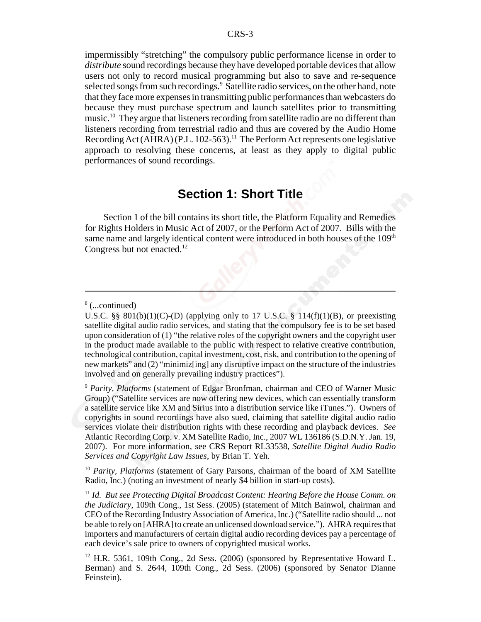impermissibly "stretching" the compulsory public performance license in order to *distribute* sound recordings because they have developed portable devices that allow users not only to record musical programming but also to save and re-sequence selected songs from such recordings.<sup>9</sup> Satellite radio services, on the other hand, note that they face more expenses in transmitting public performances than webcasters do because they must purchase spectrum and launch satellites prior to transmitting music.<sup>10</sup> They argue that listeners recording from satellite radio are no different than listeners recording from terrestrial radio and thus are covered by the Audio Home Recording Act (AHRA) (P.L. 102-563).<sup>11</sup> The Perform Act represents one legislative approach to resolving these concerns, at least as they apply to digital public performances of sound recordings.

#### **Section 1: Short Title**

Section 1 of the bill contains its short title, the Platform Equality and Remedies for Rights Holders in Music Act of 2007, or the Perform Act of 2007. Bills with the same name and largely identical content were introduced in both houses of the  $109<sup>th</sup>$ Congress but not enacted.<sup>12</sup>

<sup>10</sup> *Parity, Platforms* (statement of Gary Parsons, chairman of the board of XM Satellite Radio, Inc.) (noting an investment of nearly \$4 billion in start-up costs).

<sup>8</sup> (...continued)

U.S.C. §§  $801(b)(1)(C)$ -(D) (applying only to 17 U.S.C. § 114(f)(1)(B), or preexisting satellite digital audio radio services, and stating that the compulsory fee is to be set based upon consideration of (1) "the relative roles of the copyright owners and the copyright user in the product made available to the public with respect to relative creative contribution, technological contribution, capital investment, cost, risk, and contribution to the opening of new markets" and (2) "minimiz[ing] any disruptive impact on the structure of the industries involved and on generally prevailing industry practices").

<sup>9</sup> *Parity, Platforms* (statement of Edgar Bronfman, chairman and CEO of Warner Music Group) ("Satellite services are now offering new devices, which can essentially transform a satellite service like XM and Sirius into a distribution service like iTunes."). Owners of copyrights in sound recordings have also sued, claiming that satellite digital audio radio services violate their distribution rights with these recording and playback devices. *See* Atlantic Recording Corp. v. XM Satellite Radio, Inc., 2007 WL 136186 (S.D.N.Y. Jan. 19, 2007). For more information, see CRS Report RL33538, *Satellite Digital Audio Radio Services and Copyright Law Issues*, by Brian T. Yeh.

<sup>11</sup> *Id. But see Protecting Digital Broadcast Content: Hearing Before the House Comm. on the Judiciary*, 109th Cong., 1st Sess. (2005) (statement of Mitch Bainwol, chairman and CEO of the Recording Industry Association of America, Inc.) ("Satellite radio should ... not be able to rely on [AHRA] to create an unlicensed download service."). AHRA requires that importers and manufacturers of certain digital audio recording devices pay a percentage of each device's sale price to owners of copyrighted musical works.

 $12$  H.R. 5361, 109th Cong., 2d Sess. (2006) (sponsored by Representative Howard L. Berman) and S. 2644, 109th Cong., 2d Sess. (2006) (sponsored by Senator Dianne Feinstein).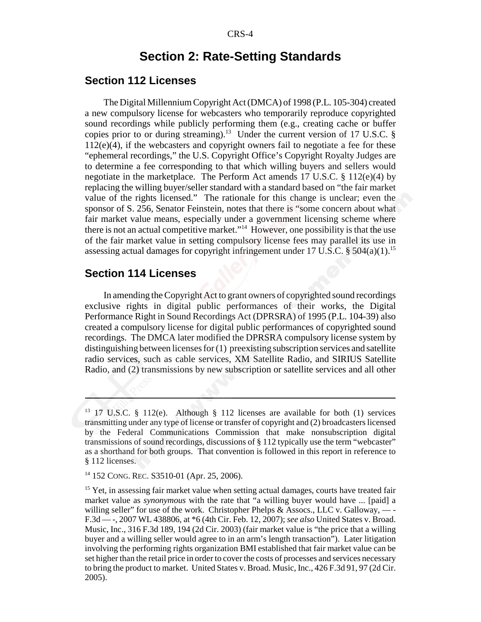### **Section 2: Rate-Setting Standards**

#### **Section 112 Licenses**

The Digital Millennium Copyright Act (DMCA) of 1998 (P.L. 105-304) created a new compulsory license for webcasters who temporarily reproduce copyrighted sound recordings while publicly performing them (e.g., creating cache or buffer copies prior to or during streaming).<sup>13</sup> Under the current version of 17 U.S.C. §  $112(e)(4)$ , if the webcasters and copyright owners fail to negotiate a fee for these "ephemeral recordings," the U.S. Copyright Office's Copyright Royalty Judges are to determine a fee corresponding to that which willing buyers and sellers would negotiate in the marketplace. The Perform Act amends 17 U.S.C. § 112(e)(4) by replacing the willing buyer/seller standard with a standard based on "the fair market value of the rights licensed." The rationale for this change is unclear; even the sponsor of S. 256, Senator Feinstein, notes that there is "some concern about what fair market value means, especially under a government licensing scheme where there is not an actual competitive market."<sup>14</sup> However, one possibility is that the use of the fair market value in setting compulsory license fees may parallel its use in assessing actual damages for copyright infringement under 17 U.S.C. §  $504(a)(1)$ <sup>15</sup>

#### **Section 114 Licenses**

In amending the Copyright Act to grant owners of copyrighted sound recordings exclusive rights in digital public performances of their works, the Digital Performance Right in Sound Recordings Act (DPRSRA) of 1995 (P.L. 104-39) also created a compulsory license for digital public performances of copyrighted sound recordings. The DMCA later modified the DPRSRA compulsory license system by distinguishing between licenses for (1) preexisting subscription services and satellite radio services, such as cable services, XM Satellite Radio, and SIRIUS Satellite Radio, and (2) transmissions by new subscription or satellite services and all other

<sup>&</sup>lt;sup>13</sup> 17 U.S.C. § 112(e). Although § 112 licenses are available for both (1) services transmitting under any type of license or transfer of copyright and (2) broadcasters licensed by the Federal Communications Commission that make nonsubscription digital transmissions of sound recordings, discussions of § 112 typically use the term "webcaster" as a shorthand for both groups. That convention is followed in this report in reference to § 112 licenses.

<sup>14 152</sup> CONG. REC. S3510-01 (Apr. 25, 2006).

 $15$  Yet, in assessing fair market value when setting actual damages, courts have treated fair market value as *synonymous* with the rate that "a willing buyer would have ... [paid] a willing seller" for use of the work. Christopher Phelps  $\&$  Assocs., LLC v. Galloway, — -F.3d — -, 2007 WL 438806, at \*6 (4th Cir. Feb. 12, 2007); *see also* United States v. Broad. Music, Inc., 316 F.3d 189, 194 (2d Cir. 2003) (fair market value is "the price that a willing buyer and a willing seller would agree to in an arm's length transaction"). Later litigation involving the performing rights organization BMI established that fair market value can be set higher than the retail price in order to cover the costs of processes and services necessary to bring the product to market. United States v. Broad. Music, Inc., 426 F.3d 91, 97 (2d Cir. 2005).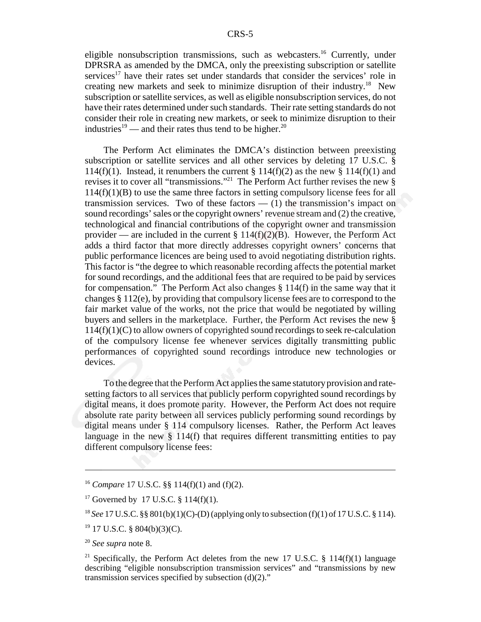eligible nonsubscription transmissions, such as webcasters.16 Currently, under DPRSRA as amended by the DMCA, only the preexisting subscription or satellite services<sup>17</sup> have their rates set under standards that consider the services' role in creating new markets and seek to minimize disruption of their industry.18 New subscription or satellite services, as well as eligible nonsubscription services, do not have their rates determined under such standards. Their rate setting standards do not consider their role in creating new markets, or seek to minimize disruption to their industries<sup>19</sup> — and their rates thus tend to be higher.<sup>20</sup>

The Perform Act eliminates the DMCA's distinction between preexisting subscription or satellite services and all other services by deleting 17 U.S.C. § 114(f)(1). Instead, it renumbers the current § 114(f)(2) as the new § 114(f)(1) and revises it to cover all "transmissions."<sup>21</sup> The Perform Act further revises the new  $\S$  $114(f)(1)(B)$  to use the same three factors in setting compulsory license fees for all transmission services. Two of these factors  $- (1)$  the transmission's impact on sound recordings' sales or the copyright owners' revenue stream and (2) the creative, technological and financial contributions of the copyright owner and transmission provider — are included in the current  $\S 114(f)(2)(B)$ . However, the Perform Act adds a third factor that more directly addresses copyright owners' concerns that public performance licences are being used to avoid negotiating distribution rights. This factor is "the degree to which reasonable recording affects the potential market for sound recordings, and the additional fees that are required to be paid by services for compensation." The Perform Act also changes § 114(f) in the same way that it changes § 112(e), by providing that compulsory license fees are to correspond to the fair market value of the works, not the price that would be negotiated by willing buyers and sellers in the marketplace. Further, the Perform Act revises the new §  $114(f)(1)(C)$  to allow owners of copyrighted sound recordings to seek re-calculation of the compulsory license fee whenever services digitally transmitting public performances of copyrighted sound recordings introduce new technologies or devices.

To the degree that the Perform Act applies the same statutory provision and ratesetting factors to all services that publicly perform copyrighted sound recordings by digital means, it does promote parity. However, the Perform Act does not require absolute rate parity between all services publicly performing sound recordings by digital means under § 114 compulsory licenses. Rather, the Perform Act leaves language in the new  $\S$  114(f) that requires different transmitting entities to pay different compulsory license fees:

<sup>16</sup> *Compare* 17 U.S.C. §§ 114(f)(1) and (f)(2).

<sup>&</sup>lt;sup>17</sup> Governed by 17 U.S.C. § 114(f)(1).

<sup>18</sup> *See* 17 U.S.C. §§ 801(b)(1)(C)-(D) (applying only to subsection (f)(1) of 17 U.S.C. § 114).

<sup>19 17</sup> U.S.C. § 804(b)(3)(C).

<sup>20</sup> *See supra* note 8.

<sup>&</sup>lt;sup>21</sup> Specifically, the Perform Act deletes from the new 17 U.S.C. § 114(f)(1) language describing "eligible nonsubscription transmission services" and "transmissions by new transmission services specified by subsection (d)(2)."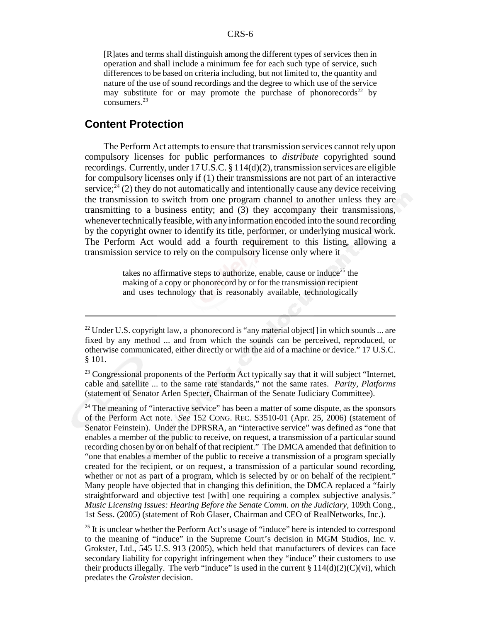[R]ates and terms shall distinguish among the different types of services then in operation and shall include a minimum fee for each such type of service, such differences to be based on criteria including, but not limited to, the quantity and nature of the use of sound recordings and the degree to which use of the service may substitute for or may promote the purchase of phonorecords<sup>22</sup> by consumers.23

#### **Content Protection**

The Perform Act attempts to ensure that transmission services cannot rely upon compulsory licenses for public performances to *distribute* copyrighted sound recordings. Currently, under 17 U.S.C. § 114(d)(2), transmission services are eligible for compulsory licenses only if (1) their transmissions are not part of an interactive service; $^{24}$  (2) they do not automatically and intentionally cause any device receiving the transmission to switch from one program channel to another unless they are transmitting to a business entity; and (3) they accompany their transmissions, whenever technically feasible, with any information encoded into the sound recording by the copyright owner to identify its title, performer, or underlying musical work. The Perform Act would add a fourth requirement to this listing, allowing a transmission service to rely on the compulsory license only where it

> takes no affirmative steps to authorize, enable, cause or induce<sup>25</sup> the making of a copy or phonorecord by or for the transmission recipient and uses technology that is reasonably available, technologically

<sup>&</sup>lt;sup>22</sup> Under U.S. copyright law, a phonorecord is "any material object<sup>[]</sup> in which sounds ... are fixed by any method ... and from which the sounds can be perceived, reproduced, or otherwise communicated, either directly or with the aid of a machine or device." 17 U.S.C. § 101.

<sup>&</sup>lt;sup>23</sup> Congressional proponents of the Perform Act typically say that it will subject "Internet, cable and satellite ... to the same rate standards," not the same rates. *Parity, Platforms* (statement of Senator Arlen Specter, Chairman of the Senate Judiciary Committee).

 $24$  The meaning of "interactive service" has been a matter of some dispute, as the sponsors of the Perform Act note. *See* 152 CONG. REC. S3510-01 (Apr. 25, 2006) (statement of Senator Feinstein). Under the DPRSRA, an "interactive service" was defined as "one that enables a member of the public to receive, on request, a transmission of a particular sound recording chosen by or on behalf of that recipient." The DMCA amended that definition to "one that enables a member of the public to receive a transmission of a program specially created for the recipient, or on request, a transmission of a particular sound recording, whether or not as part of a program, which is selected by or on behalf of the recipient." Many people have objected that in changing this definition, the DMCA replaced a "fairly straightforward and objective test [with] one requiring a complex subjective analysis." *Music Licensing Issues: Hearing Before the Senate Comm. on the Judiciary*, 109th Cong., 1st Sess. (2005) (statement of Rob Glaser, Chairman and CEO of RealNetworks, Inc.).

 $25$  It is unclear whether the Perform Act's usage of "induce" here is intended to correspond to the meaning of "induce" in the Supreme Court's decision in MGM Studios, Inc. v. Grokster, Ltd., 545 U.S. 913 (2005), which held that manufacturers of devices can face secondary liability for copyright infringement when they "induce" their customers to use their products illegally. The verb "induce" is used in the current  $\S 114(d)(2)(C)(vi)$ , which predates the *Grokster* decision.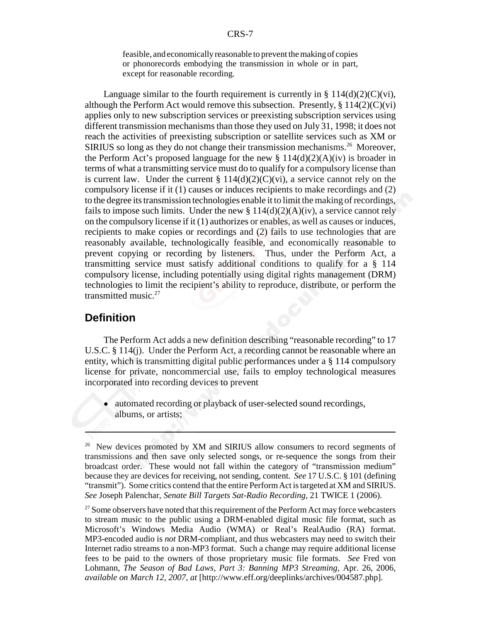feasible, and economically reasonable to prevent the making of copies or phonorecords embodying the transmission in whole or in part, except for reasonable recording.

Language similar to the fourth requirement is currently in §  $114(d)(2)(C)(vi)$ , although the Perform Act would remove this subsection. Presently,  $\S 114(2)(C)(vi)$ applies only to new subscription services or preexisting subscription services using different transmission mechanisms than those they used on July 31, 1998; it does not reach the activities of preexisting subscription or satellite services such as XM or SIRIUS so long as they do not change their transmission mechanisms.<sup>26</sup> Moreover, the Perform Act's proposed language for the new  $\S 114(d)(2)(A)(iv)$  is broader in terms of what a transmitting service must do to qualify for a compulsory license than is current law. Under the current  $\S 114(d)(2)(C)(vi)$ , a service cannot rely on the compulsory license if it (1) causes or induces recipients to make recordings and (2) to the degree its transmission technologies enable it to limit the making of recordings, fails to impose such limits. Under the new  $\S 114(d)(2)(A)(iv)$ , a service cannot rely on the compulsory license if it (1) authorizes or enables, as well as causes or induces, recipients to make copies or recordings and (2) fails to use technologies that are reasonably available, technologically feasible, and economically reasonable to prevent copying or recording by listeners. Thus, under the Perform Act, a transmitting service must satisfy additional conditions to qualify for a § 114 compulsory license, including potentially using digital rights management (DRM) technologies to limit the recipient's ability to reproduce, distribute, or perform the transmitted music. $27$ 

#### **Definition**

The Perform Act adds a new definition describing "reasonable recording" to 17 U.S.C. § 114(j). Under the Perform Act, a recording cannot be reasonable where an entity, which is transmitting digital public performances under a § 114 compulsory license for private, noncommercial use, fails to employ technological measures incorporated into recording devices to prevent

automated recording or playback of user-selected sound recordings, albums, or artists;

<sup>&</sup>lt;sup>26</sup> New devices promoted by XM and SIRIUS allow consumers to record segments of transmissions and then save only selected songs, or re-sequence the songs from their broadcast order. These would not fall within the category of "transmission medium" because they are devices for receiving, not sending, content. *See* 17 U.S.C. § 101 (defining "transmit"). Some critics contend that the entire Perform Act is targeted at XM and SIRIUS. *See* Joseph Palenchar, *Senate Bill Targets Sat-Radio Recording*, 21 TWICE 1 (2006).

 $27$  Some observers have noted that this requirement of the Perform Act may force webcasters to stream music to the public using a DRM-enabled digital music file format, such as Microsoft's Windows Media Audio (WMA) or Real's RealAudio (RA) format. MP3-encoded audio is *not* DRM-compliant, and thus webcasters may need to switch their Internet radio streams to a non-MP3 format. Such a change may require additional license fees to be paid to the owners of those proprietary music file formats. *See* Fred von Lohmann, *The Season of Bad Laws, Part 3: Banning MP3 Streaming,* Apr. 26, 2006, *available on March 12, 2007, at* [http://www.eff.org/deeplinks/archives/004587.php].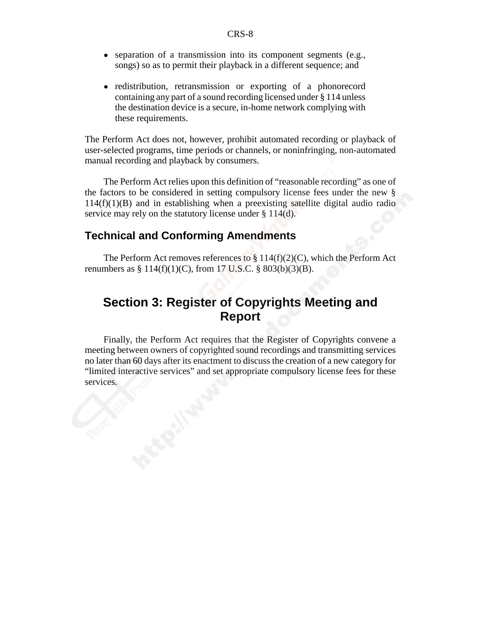- separation of a transmission into its component segments (e.g., songs) so as to permit their playback in a different sequence; and
- redistribution, retransmission or exporting of a phonorecord containing any part of a sound recording licensed under § 114 unless the destination device is a secure, in-home network complying with these requirements.

The Perform Act does not, however, prohibit automated recording or playback of user-selected programs, time periods or channels, or noninfringing, non-automated manual recording and playback by consumers.

The Perform Act relies upon this definition of "reasonable recording" as one of the factors to be considered in setting compulsory license fees under the new §  $114(f)(1)(B)$  and in establishing when a preexisting satellite digital audio radio service may rely on the statutory license under § 114(d).

#### **Technical and Conforming Amendments**

The Perform Act removes references to  $\S 114(f)(2)(C)$ , which the Perform Act renumbers as  $\S 114(f)(1)(C)$ , from 17 U.S.C.  $\S 803(b)(3)(B)$ .

# **Section 3: Register of Copyrights Meeting and Report**

Finally, the Perform Act requires that the Register of Copyrights convene a meeting between owners of copyrighted sound recordings and transmitting services no later than 60 days after its enactment to discuss the creation of a new category for "limited interactive services" and set appropriate compulsory license fees for these services.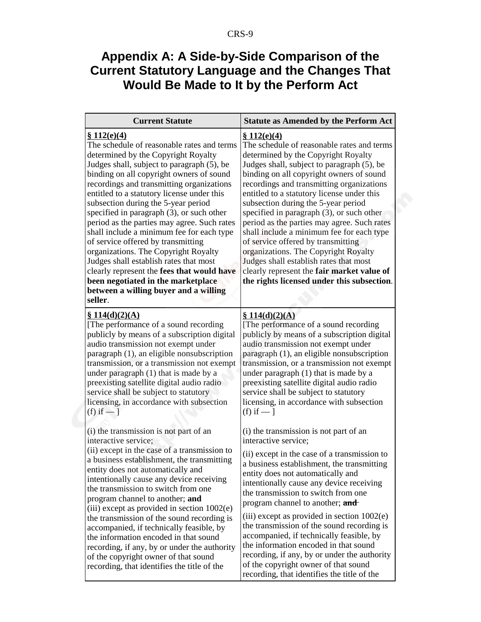# **Appendix A: A Side-by-Side Comparison of the Current Statutory Language and the Changes That Would Be Made to It by the Perform Act**

| <b>Current Statute</b>                                                                                                                                                                                                                                                                                                                                                                                                                                                                                                                                                                                                                                                                                                                   | <b>Statute as Amended by the Perform Act</b>                                                                                                                                                                                                                                                                                                                                                                                                                                                                                                                                                                                                                                                 |
|------------------------------------------------------------------------------------------------------------------------------------------------------------------------------------------------------------------------------------------------------------------------------------------------------------------------------------------------------------------------------------------------------------------------------------------------------------------------------------------------------------------------------------------------------------------------------------------------------------------------------------------------------------------------------------------------------------------------------------------|----------------------------------------------------------------------------------------------------------------------------------------------------------------------------------------------------------------------------------------------------------------------------------------------------------------------------------------------------------------------------------------------------------------------------------------------------------------------------------------------------------------------------------------------------------------------------------------------------------------------------------------------------------------------------------------------|
| \$112(e)(4)<br>The schedule of reasonable rates and terms<br>determined by the Copyright Royalty<br>Judges shall, subject to paragraph (5), be<br>binding on all copyright owners of sound<br>recordings and transmitting organizations<br>entitled to a statutory license under this<br>subsection during the 5-year period<br>specified in paragraph $(3)$ , or such other<br>period as the parties may agree. Such rates<br>shall include a minimum fee for each type<br>of service offered by transmitting<br>organizations. The Copyright Royalty<br>Judges shall establish rates that most<br>clearly represent the fees that would have<br>been negotiated in the marketplace<br>between a willing buyer and a willing<br>seller. | \$112(e)(4)<br>The schedule of reasonable rates and terms<br>determined by the Copyright Royalty<br>Judges shall, subject to paragraph (5), be<br>binding on all copyright owners of sound<br>recordings and transmitting organizations<br>entitled to a statutory license under this<br>subsection during the 5-year period<br>specified in paragraph $(3)$ , or such other<br>period as the parties may agree. Such rates<br>shall include a minimum fee for each type<br>of service offered by transmitting<br>organizations. The Copyright Royalty<br>Judges shall establish rates that most<br>clearly represent the fair market value of<br>the rights licensed under this subsection. |
| \$114(d)(2)(A)<br>[The performance of a sound recording]<br>publicly by means of a subscription digital<br>audio transmission not exempt under<br>paragraph (1), an eligible nonsubscription<br>transmission, or a transmission not exempt<br>under paragraph (1) that is made by a<br>preexisting satellite digital audio radio<br>service shall be subject to statutory<br>licensing, in accordance with subsection<br>(f) if $-1$                                                                                                                                                                                                                                                                                                     | \$114(d)(2)(A)<br>[The performance of a sound recording]<br>publicly by means of a subscription digital<br>audio transmission not exempt under<br>paragraph (1), an eligible nonsubscription<br>transmission, or a transmission not exempt<br>under paragraph (1) that is made by a<br>preexisting satellite digital audio radio<br>service shall be subject to statutory<br>licensing, in accordance with subsection<br>(f) if $-$ ]                                                                                                                                                                                                                                                        |
| (i) the transmission is not part of an<br>interactive service;<br>(ii) except in the case of a transmission to<br>a business establishment, the transmitting<br>entity does not automatically and<br>intentionally cause any device receiving<br>the transmission to switch from one<br>program channel to another; and<br>(iii) except as provided in section $1002(e)$                                                                                                                                                                                                                                                                                                                                                                 | (i) the transmission is not part of an<br>interactive service;<br>(ii) except in the case of a transmission to<br>a business establishment, the transmitting<br>entity does not automatically and<br>intentionally cause any device receiving<br>the transmission to switch from one<br>program channel to another; and                                                                                                                                                                                                                                                                                                                                                                      |
| the transmission of the sound recording is<br>accompanied, if technically feasible, by<br>the information encoded in that sound<br>recording, if any, by or under the authority<br>of the copyright owner of that sound<br>recording, that identifies the title of the                                                                                                                                                                                                                                                                                                                                                                                                                                                                   | (iii) except as provided in section $1002(e)$<br>the transmission of the sound recording is<br>accompanied, if technically feasible, by<br>the information encoded in that sound<br>recording, if any, by or under the authority<br>of the copyright owner of that sound<br>recording, that identifies the title of the                                                                                                                                                                                                                                                                                                                                                                      |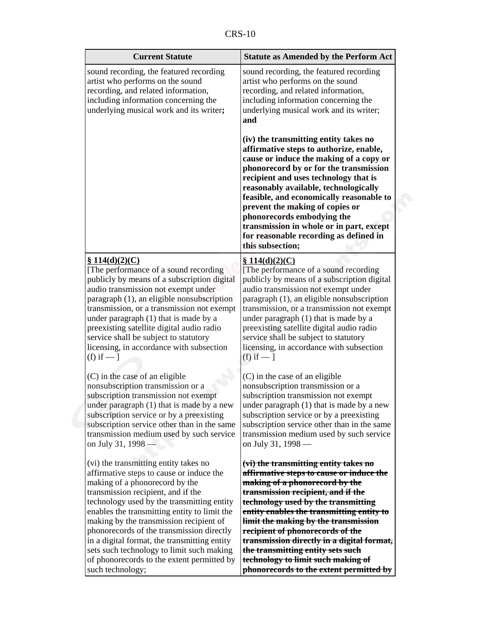| <b>Current Statute</b>                                                                                                                                                                                                                                                                                                                                                                                                                                                                                         | <b>Statute as Amended by the Perform Act</b>                                                                                                                                                                                                                                                                                                                                                                                                                                                  |  |
|----------------------------------------------------------------------------------------------------------------------------------------------------------------------------------------------------------------------------------------------------------------------------------------------------------------------------------------------------------------------------------------------------------------------------------------------------------------------------------------------------------------|-----------------------------------------------------------------------------------------------------------------------------------------------------------------------------------------------------------------------------------------------------------------------------------------------------------------------------------------------------------------------------------------------------------------------------------------------------------------------------------------------|--|
| sound recording, the featured recording<br>artist who performs on the sound<br>recording, and related information,<br>including information concerning the<br>underlying musical work and its writer;                                                                                                                                                                                                                                                                                                          | sound recording, the featured recording<br>artist who performs on the sound<br>recording, and related information,<br>including information concerning the<br>underlying musical work and its writer;<br>and                                                                                                                                                                                                                                                                                  |  |
|                                                                                                                                                                                                                                                                                                                                                                                                                                                                                                                | (iv) the transmitting entity takes no<br>affirmative steps to authorize, enable,<br>cause or induce the making of a copy or<br>phonorecord by or for the transmission<br>recipient and uses technology that is<br>reasonably available, technologically<br>feasible, and economically reasonable to<br>prevent the making of copies or<br>phonorecords embodying the<br>transmission in whole or in part, except<br>for reasonable recording as defined in<br>this subsection;                |  |
| \$114(d)(2)(C)<br>[The performance of a sound recording]<br>publicly by means of a subscription digital<br>audio transmission not exempt under<br>paragraph (1), an eligible nonsubscription<br>transmission, or a transmission not exempt<br>under paragraph (1) that is made by a<br>preexisting satellite digital audio radio<br>service shall be subject to statutory<br>licensing, in accordance with subsection<br>(f) if $-$ ]                                                                          | \$114(d)(2)(C)<br>[The performance of a sound recording<br>publicly by means of a subscription digital<br>audio transmission not exempt under<br>paragraph (1), an eligible nonsubscription<br>transmission, or a transmission not exempt<br>under paragraph (1) that is made by a<br>preexisting satellite digital audio radio<br>service shall be subject to statutory<br>licensing, in accordance with subsection<br>(f) if $-$ ]                                                          |  |
| (C) in the case of an eligible<br>nonsubscription transmission or a<br>subscription transmission not exempt<br>under paragraph (1) that is made by a new<br>subscription service or by a preexisting<br>subscription service other than in the same<br>transmission medium used by such service<br>on July 31, 1998 -                                                                                                                                                                                          | (C) in the case of an eligible<br>nonsubscription transmission or a<br>subscription transmission not exempt<br>under paragraph (1) that is made by a new<br>subscription service or by a preexisting<br>subscription service other than in the same<br>transmission medium used by such service<br>on July 31, 1998 —                                                                                                                                                                         |  |
| (vi) the transmitting entity takes no<br>affirmative steps to cause or induce the<br>making of a phonorecord by the<br>transmission recipient, and if the<br>technology used by the transmitting entity<br>enables the transmitting entity to limit the<br>making by the transmission recipient of<br>phonorecords of the transmission directly<br>in a digital format, the transmitting entity<br>sets such technology to limit such making<br>of phonorecords to the extent permitted by<br>such technology; | (vi) the transmitting entity takes no<br>affirmative steps to cause or induce the<br>making of a phonorecord by the<br>transmission recipient, and if the<br>technology used by the transmitting<br>entity enables the transmitting entity to<br>limit the making by the transmission<br>recipient of phonorecords of the<br>transmission directly in a digital format,<br>the transmitting entity sets such<br>technology to limit such making of<br>phonorecords to the extent permitted by |  |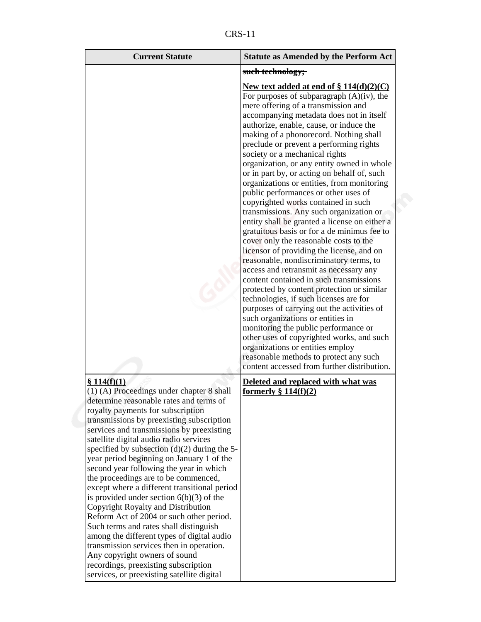|--|

| <b>Current Statute</b>                                                                                                                                                                                                                                                                                                                                                                                                                                                                                                                                                                                                                                                                                                                                                                                                                                                                                    | <b>Statute as Amended by the Perform Act</b>                                                                                                                                                                                                                                                                                                                                                                                                                                                                                                                                                                                                                                                                                                                                                                                                                                                                                                                                                                                                                                                                                                                                                                                                                                           |
|-----------------------------------------------------------------------------------------------------------------------------------------------------------------------------------------------------------------------------------------------------------------------------------------------------------------------------------------------------------------------------------------------------------------------------------------------------------------------------------------------------------------------------------------------------------------------------------------------------------------------------------------------------------------------------------------------------------------------------------------------------------------------------------------------------------------------------------------------------------------------------------------------------------|----------------------------------------------------------------------------------------------------------------------------------------------------------------------------------------------------------------------------------------------------------------------------------------------------------------------------------------------------------------------------------------------------------------------------------------------------------------------------------------------------------------------------------------------------------------------------------------------------------------------------------------------------------------------------------------------------------------------------------------------------------------------------------------------------------------------------------------------------------------------------------------------------------------------------------------------------------------------------------------------------------------------------------------------------------------------------------------------------------------------------------------------------------------------------------------------------------------------------------------------------------------------------------------|
|                                                                                                                                                                                                                                                                                                                                                                                                                                                                                                                                                                                                                                                                                                                                                                                                                                                                                                           | such technology;                                                                                                                                                                                                                                                                                                                                                                                                                                                                                                                                                                                                                                                                                                                                                                                                                                                                                                                                                                                                                                                                                                                                                                                                                                                                       |
|                                                                                                                                                                                                                                                                                                                                                                                                                                                                                                                                                                                                                                                                                                                                                                                                                                                                                                           | New text added at end of § 114(d)(2)(C)<br>For purposes of subparagraph $(A)(iv)$ , the<br>mere offering of a transmission and<br>accompanying metadata does not in itself<br>authorize, enable, cause, or induce the<br>making of a phonorecord. Nothing shall<br>preclude or prevent a performing rights<br>society or a mechanical rights<br>organization, or any entity owned in whole<br>or in part by, or acting on behalf of, such<br>organizations or entities, from monitoring<br>public performances or other uses of<br>copyrighted works contained in such<br>transmissions. Any such organization or<br>entity shall be granted a license on either a<br>gratuitous basis or for a de minimus fee to<br>cover only the reasonable costs to the<br>licensor of providing the license, and on<br>reasonable, nondiscriminatory terms, to<br>access and retransmit as necessary any<br>content contained in such transmissions<br>protected by content protection or similar<br>technologies, if such licenses are for<br>purposes of carrying out the activities of<br>such organizations or entities in<br>monitoring the public performance or<br>other uses of copyrighted works, and such<br>organizations or entities employ<br>reasonable methods to protect any such |
| \$114(f)(1)<br>(1) (A) Proceedings under chapter 8 shall<br>determine reasonable rates and terms of<br>royalty payments for subscription<br>transmissions by preexisting subscription<br>services and transmissions by preexisting<br>satellite digital audio radio services<br>specified by subsection $(d)(2)$ during the 5-<br>year period beginning on January 1 of the<br>second year following the year in which<br>the proceedings are to be commenced,<br>except where a different transitional period<br>is provided under section $6(b)(3)$ of the<br>Copyright Royalty and Distribution<br>Reform Act of 2004 or such other period.<br>Such terms and rates shall distinguish<br>among the different types of digital audio<br>transmission services then in operation.<br>Any copyright owners of sound<br>recordings, preexisting subscription<br>services, or preexisting satellite digital | content accessed from further distribution.<br>Deleted and replaced with what was<br>formerly $\S 114(f)(2)$                                                                                                                                                                                                                                                                                                                                                                                                                                                                                                                                                                                                                                                                                                                                                                                                                                                                                                                                                                                                                                                                                                                                                                           |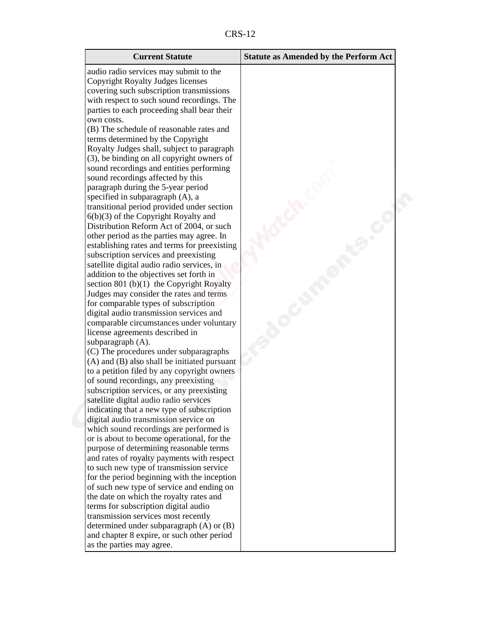CRS-12

| <b>Current Statute</b>                                                      | <b>Statute as Amended by the Perform Act</b> |
|-----------------------------------------------------------------------------|----------------------------------------------|
| audio radio services may submit to the                                      |                                              |
| Copyright Royalty Judges licenses                                           |                                              |
| covering such subscription transmissions                                    |                                              |
| with respect to such sound recordings. The                                  |                                              |
| parties to each proceeding shall bear their                                 |                                              |
| own costs.                                                                  |                                              |
| (B) The schedule of reasonable rates and                                    |                                              |
| terms determined by the Copyright                                           |                                              |
| Royalty Judges shall, subject to paragraph                                  |                                              |
| (3), be binding on all copyright owners of                                  |                                              |
| sound recordings and entities performing                                    |                                              |
| sound recordings affected by this                                           |                                              |
| paragraph during the 5-year period                                          |                                              |
| specified in subparagraph (A), a                                            |                                              |
| transitional period provided under section                                  |                                              |
| $6(b)(3)$ of the Copyright Royalty and                                      |                                              |
| Distribution Reform Act of 2004, or such                                    |                                              |
| other period as the parties may agree. In                                   |                                              |
| establishing rates and terms for preexisting                                |                                              |
| subscription services and preexisting                                       |                                              |
| satellite digital audio radio services, in                                  |                                              |
| addition to the objectives set forth in                                     |                                              |
| section 801 (b) $(1)$ the Copyright Royalty                                 |                                              |
| Judges may consider the rates and terms                                     |                                              |
| for comparable types of subscription                                        |                                              |
| digital audio transmission services and                                     |                                              |
| comparable circumstances under voluntary<br>license agreements described in |                                              |
| subparagraph (A).                                                           |                                              |
| (C) The procedures under subparagraphs                                      |                                              |
| (A) and (B) also shall be initiated pursuant                                |                                              |
| to a petition filed by any copyright owners                                 |                                              |
| of sound recordings, any preexisting                                        |                                              |
| subscription services, or any preexisting                                   |                                              |
| satellite digital audio radio services                                      |                                              |
| indicating that a new type of subscription                                  |                                              |
| digital audio transmission service on                                       |                                              |
| which sound recordings are performed is                                     |                                              |
| or is about to become operational, for the                                  |                                              |
| purpose of determining reasonable terms                                     |                                              |
| and rates of royalty payments with respect                                  |                                              |
| to such new type of transmission service                                    |                                              |
| for the period beginning with the inception                                 |                                              |
| of such new type of service and ending on                                   |                                              |
| the date on which the royalty rates and                                     |                                              |
| terms for subscription digital audio                                        |                                              |
| transmission services most recently                                         |                                              |
| determined under subparagraph (A) or (B)                                    |                                              |
| and chapter 8 expire, or such other period                                  |                                              |
| as the parties may agree.                                                   |                                              |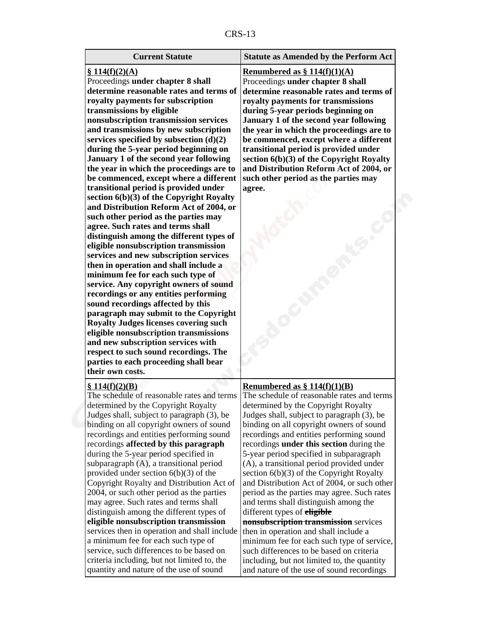| r |  |
|---|--|
|---|--|

| <b>Current Statute</b>                                                                                                                                                                                                                                                                                                                                                                                                                                                                                                                                                                                                                                                                                                                                                                                                                                                                                                                                                                                                                                                                                                                                                                                                                                                                                      | <b>Statute as Amended by the Perform Act</b>                                                                                                                                                                                                                                                                                                                                                                                                                                                                                                                                                                                                                                                                                                                                                                                                                                                                        |
|-------------------------------------------------------------------------------------------------------------------------------------------------------------------------------------------------------------------------------------------------------------------------------------------------------------------------------------------------------------------------------------------------------------------------------------------------------------------------------------------------------------------------------------------------------------------------------------------------------------------------------------------------------------------------------------------------------------------------------------------------------------------------------------------------------------------------------------------------------------------------------------------------------------------------------------------------------------------------------------------------------------------------------------------------------------------------------------------------------------------------------------------------------------------------------------------------------------------------------------------------------------------------------------------------------------|---------------------------------------------------------------------------------------------------------------------------------------------------------------------------------------------------------------------------------------------------------------------------------------------------------------------------------------------------------------------------------------------------------------------------------------------------------------------------------------------------------------------------------------------------------------------------------------------------------------------------------------------------------------------------------------------------------------------------------------------------------------------------------------------------------------------------------------------------------------------------------------------------------------------|
| \$114(f)(2)(A)<br>Proceedings under chapter 8 shall<br>determine reasonable rates and terms of<br>royalty payments for subscription<br>transmissions by eligible<br>nonsubscription transmission services<br>and transmissions by new subscription<br>services specified by subsection $(d)(2)$<br>during the 5-year period beginning on<br>January 1 of the second year following<br>the year in which the proceedings are to<br>be commenced, except where a different<br>transitional period is provided under<br>section $6(b)(3)$ of the Copyright Royalty<br>and Distribution Reform Act of 2004, or<br>such other period as the parties may<br>agree. Such rates and terms shall<br>distinguish among the different types of<br>eligible nonsubscription transmission<br>services and new subscription services<br>then in operation and shall include a<br>minimum fee for each such type of<br>service. Any copyright owners of sound<br>recordings or any entities performing<br>sound recordings affected by this<br>paragraph may submit to the Copyright<br><b>Royalty Judges licenses covering such</b><br>eligible nonsubscription transmissions<br>and new subscription services with<br>respect to such sound recordings. The<br>parties to each proceeding shall bear<br>their own costs. | Renumbered as $\S 114(f)(1)(A)$<br>Proceedings under chapter 8 shall<br>determine reasonable rates and terms of<br>royalty payments for transmissions<br>during 5-year periods beginning on<br>January 1 of the second year following<br>the year in which the proceedings are to<br>be commenced, except where a different<br>transitional period is provided under<br>section $6(b)(3)$ of the Copyright Royalty<br>and Distribution Reform Act of 2004, or<br>such other period as the parties may<br>agree.                                                                                                                                                                                                                                                                                                                                                                                                     |
| \$114(f)(2)(B)<br>The schedule of reasonable rates and terms<br>determined by the Copyright Royalty<br>Judges shall, subject to paragraph (3), be<br>binding on all copyright owners of sound<br>recordings and entities performing sound<br>recordings affected by this paragraph<br>during the 5-year period specified in<br>subparagraph (A), a transitional period<br>provided under section $6(b)(3)$ of the<br>Copyright Royalty and Distribution Act of<br>2004, or such other period as the parties<br>may agree. Such rates and terms shall<br>distinguish among the different types of<br>eligible nonsubscription transmission<br>services then in operation and shall include<br>a minimum fee for each such type of<br>service, such differences to be based on<br>criteria including, but not limited to, the<br>quantity and nature of the use of sound                                                                                                                                                                                                                                                                                                                                                                                                                                      | <u>Renumbered as <math>\S 114(f)(1)(B)</math></u><br>The schedule of reasonable rates and terms<br>determined by the Copyright Royalty<br>Judges shall, subject to paragraph (3), be<br>binding on all copyright owners of sound<br>recordings and entities performing sound<br>recordings under this section during the<br>5-year period specified in subparagraph<br>(A), a transitional period provided under<br>section $6(b)(3)$ of the Copyright Royalty<br>and Distribution Act of 2004, or such other<br>period as the parties may agree. Such rates<br>and terms shall distinguish among the<br>different types of <b>eligible</b><br>nonsubscription transmission services<br>then in operation and shall include a<br>minimum fee for each such type of service,<br>such differences to be based on criteria<br>including, but not limited to, the quantity<br>and nature of the use of sound recordings |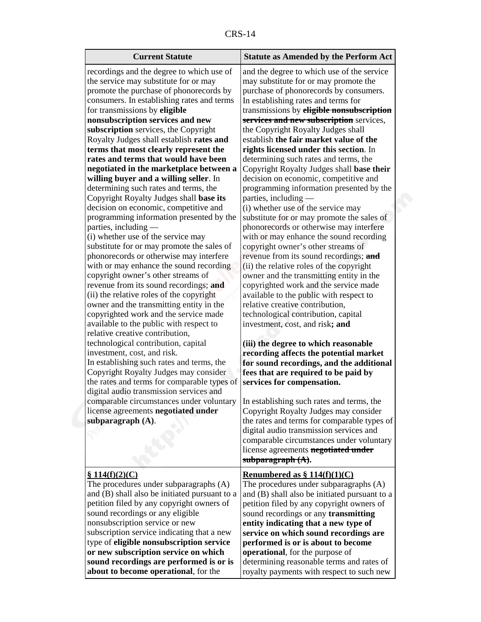| n<br>יי<br>v. |  |
|---------------|--|
|---------------|--|

| <b>Current Statute</b>                                                             | <b>Statute as Amended by the Perform Act</b>     |
|------------------------------------------------------------------------------------|--------------------------------------------------|
| recordings and the degree to which use of                                          | and the degree to which use of the service       |
| the service may substitute for or may                                              | may substitute for or may promote the            |
| promote the purchase of phonorecords by                                            | purchase of phonorecords by consumers.           |
| consumers. In establishing rates and terms                                         | In establishing rates and terms for              |
| for transmissions by eligible                                                      | transmissions by eligible nonsubscription        |
| nonsubscription services and new                                                   | services and new subscription services,          |
| subscription services, the Copyright                                               | the Copyright Royalty Judges shall               |
| Royalty Judges shall establish rates and                                           | establish the fair market value of the           |
| terms that most clearly represent the                                              | rights licensed under this section. In           |
| rates and terms that would have been                                               | determining such rates and terms, the            |
| negotiated in the marketplace between a                                            | Copyright Royalty Judges shall base their        |
| willing buyer and a willing seller. In                                             | decision on economic, competitive and            |
| determining such rates and terms, the                                              | programming information presented by the         |
| Copyright Royalty Judges shall base its                                            | parties, including —                             |
| decision on economic, competitive and                                              | (i) whether use of the service may               |
| programming information presented by the                                           | substitute for or may promote the sales of       |
| parties, including                                                                 | phonorecords or otherwise may interfere          |
| (i) whether use of the service may                                                 | with or may enhance the sound recording          |
| substitute for or may promote the sales of                                         | copyright owner's other streams of               |
| phonorecords or otherwise may interfere                                            | revenue from its sound recordings; and           |
| with or may enhance the sound recording                                            | (ii) the relative roles of the copyright         |
| copyright owner's other streams of                                                 | owner and the transmitting entity in the         |
| revenue from its sound recordings; and                                             | copyrighted work and the service made            |
| (ii) the relative roles of the copyright                                           | available to the public with respect to          |
| owner and the transmitting entity in the                                           | relative creative contribution,                  |
| copyrighted work and the service made                                              | technological contribution, capital              |
| available to the public with respect to                                            | investment, cost, and risk; and                  |
| relative creative contribution,                                                    | (iii) the degree to which reasonable             |
| technological contribution, capital                                                | recording affects the potential market           |
| investment, cost, and risk.                                                        | for sound recordings, and the additional         |
| In establishing such rates and terms, the                                          | fees that are required to be paid by             |
| Copyright Royalty Judges may consider                                              | services for compensation.                       |
| the rates and terms for comparable types of                                        | Copyright Royalty Judges may consider            |
| digital audio transmission services and                                            | the rates and terms for comparable types of      |
| comparable circumstances under voluntary In establishing such rates and terms, the | digital audio transmission services and          |
| license agreements negotiated under                                                | comparable circumstances under voluntary         |
| subparagraph $(A)$ .                                                               | license agreements <b>negotiated under</b>       |
|                                                                                    | subparagraph $(A)$ .                             |
| \$114(f)(2)(C)                                                                     | <u>Renumbered as <math>§ 114(f)(1)(C)</math></u> |
| The procedures under subparagraphs (A)                                             | The procedures under subparagraphs (A)           |
| and (B) shall also be initiated pursuant to a                                      | and (B) shall also be initiated pursuant to a    |
| petition filed by any copyright owners of                                          | petition filed by any copyright owners of        |
| sound recordings or any eligible                                                   | sound recordings or any transmitting             |
| nonsubscription service or new                                                     | entity indicating that a new type of             |
| subscription service indicating that a new                                         | service on which sound recordings are            |
| type of eligible nonsubscription service                                           | performed is or is about to become               |
| or new subscription service on which                                               | operational, for the purpose of                  |
| sound recordings are performed is or is                                            | determining reasonable terms and rates of        |
| about to become operational, for the                                               | royalty payments with respect to such new        |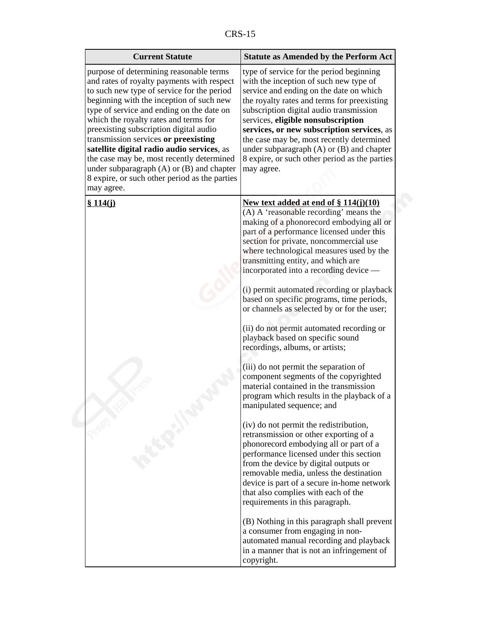| purpose of determining reasonable terms                                                                                                                                                                                                                                                                                                                                                                                                                                                                                               | type of service for the period beginning                                                                                                                                                                                                                                                                                                                                                                                                                                                                                                                                                                                                                                                                                                                                                                                                                                                                                                                                                                                                                                                                                                                                                                                                                                                                                                  |
|---------------------------------------------------------------------------------------------------------------------------------------------------------------------------------------------------------------------------------------------------------------------------------------------------------------------------------------------------------------------------------------------------------------------------------------------------------------------------------------------------------------------------------------|-------------------------------------------------------------------------------------------------------------------------------------------------------------------------------------------------------------------------------------------------------------------------------------------------------------------------------------------------------------------------------------------------------------------------------------------------------------------------------------------------------------------------------------------------------------------------------------------------------------------------------------------------------------------------------------------------------------------------------------------------------------------------------------------------------------------------------------------------------------------------------------------------------------------------------------------------------------------------------------------------------------------------------------------------------------------------------------------------------------------------------------------------------------------------------------------------------------------------------------------------------------------------------------------------------------------------------------------|
| and rates of royalty payments with respect<br>to such new type of service for the period<br>beginning with the inception of such new<br>type of service and ending on the date on<br>which the royalty rates and terms for<br>preexisting subscription digital audio<br>transmission services or preexisting<br>satellite digital radio audio services, as<br>the case may be, most recently determined<br>under subparagraph $(A)$ or $(B)$ and chapter<br>may agree.<br>8 expire, or such other period as the parties<br>may agree. | with the inception of such new type of<br>service and ending on the date on which<br>the royalty rates and terms for preexisting<br>subscription digital audio transmission<br>services, eligible nonsubscription<br>services, or new subscription services, as<br>the case may be, most recently determined<br>under subparagraph $(A)$ or $(B)$ and chapter<br>8 expire, or such other period as the parties                                                                                                                                                                                                                                                                                                                                                                                                                                                                                                                                                                                                                                                                                                                                                                                                                                                                                                                            |
| \$114(i)                                                                                                                                                                                                                                                                                                                                                                                                                                                                                                                              | New text added at end of $\S 114(j)(10)$<br>(A) A 'reasonable recording' means the<br>making of a phonorecord embodying all or<br>part of a performance licensed under this<br>section for private, noncommercial use<br>where technological measures used by the<br>transmitting entity, and which are<br>incorporated into a recording device —<br>(i) permit automated recording or playback<br>based on specific programs, time periods,<br>or channels as selected by or for the user;<br>(ii) do not permit automated recording or<br>playback based on specific sound<br>recordings, albums, or artists;<br>(iii) do not permit the separation of<br>component segments of the copyrighted<br>material contained in the transmission<br>program which results in the playback of a<br>manipulated sequence; and<br>(iv) do not permit the redistribution,<br>retransmission or other exporting of a<br>phonorecord embodying all or part of a<br>performance licensed under this section<br>from the device by digital outputs or<br>removable media, unless the destination<br>device is part of a secure in-home network<br>that also complies with each of the<br>requirements in this paragraph.<br>(B) Nothing in this paragraph shall prevent<br>a consumer from engaging in non-<br>automated manual recording and playback |